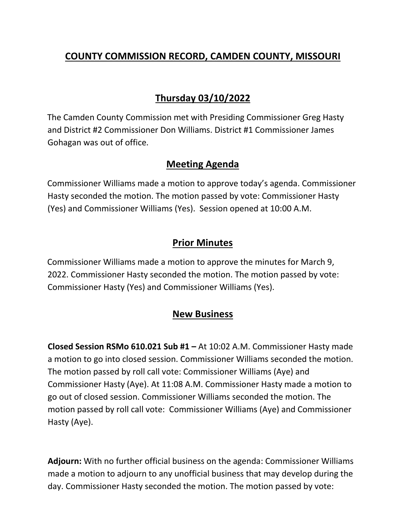## **COUNTY COMMISSION RECORD, CAMDEN COUNTY, MISSOURI**

# **Thursday 03/10/2022**

The Camden County Commission met with Presiding Commissioner Greg Hasty and District #2 Commissioner Don Williams. District #1 Commissioner James Gohagan was out of office.

#### **Meeting Agenda**

Commissioner Williams made a motion to approve today's agenda. Commissioner Hasty seconded the motion. The motion passed by vote: Commissioner Hasty (Yes) and Commissioner Williams (Yes). Session opened at 10:00 A.M.

## **Prior Minutes**

Commissioner Williams made a motion to approve the minutes for March 9, 2022. Commissioner Hasty seconded the motion. The motion passed by vote: Commissioner Hasty (Yes) and Commissioner Williams (Yes).

## **New Business**

**Closed Session RSMo 610.021 Sub #1 –** At 10:02 A.M. Commissioner Hasty made a motion to go into closed session. Commissioner Williams seconded the motion. The motion passed by roll call vote: Commissioner Williams (Aye) and Commissioner Hasty (Aye). At 11:08 A.M. Commissioner Hasty made a motion to go out of closed session. Commissioner Williams seconded the motion. The motion passed by roll call vote: Commissioner Williams (Aye) and Commissioner Hasty (Aye).

**Adjourn:** With no further official business on the agenda: Commissioner Williams made a motion to adjourn to any unofficial business that may develop during the day. Commissioner Hasty seconded the motion. The motion passed by vote: